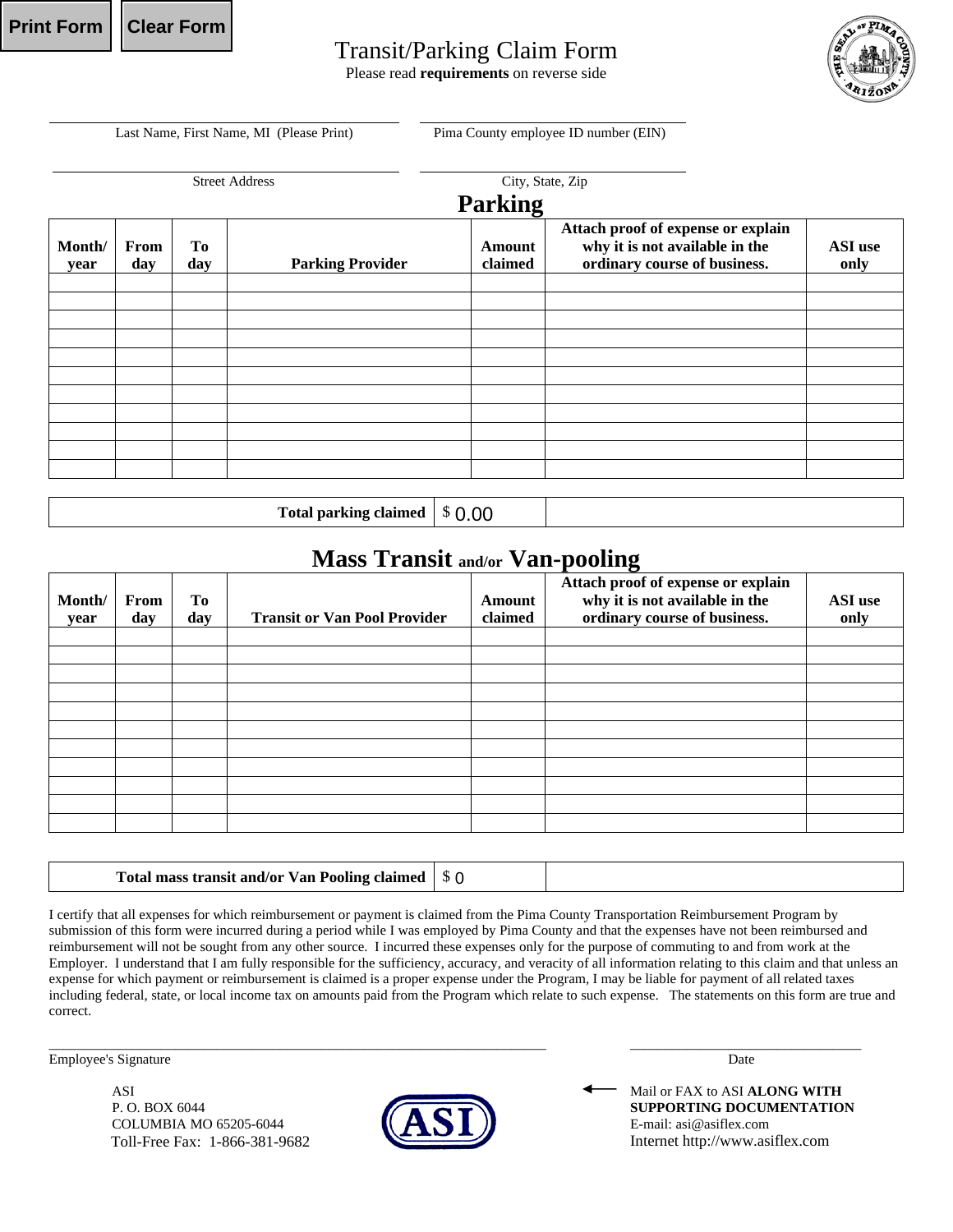## Transit/Parking Claim Form

Please read **requirements** on reverse side



Last Name, First Name, MI (Please Print) Pima County employee ID number (EIN)

|                |             |           | <b>Street Address</b>   | City, State, Zip         |                                                                                                      |                 |  |  |
|----------------|-------------|-----------|-------------------------|--------------------------|------------------------------------------------------------------------------------------------------|-----------------|--|--|
| <b>Parking</b> |             |           |                         |                          |                                                                                                      |                 |  |  |
| Month/<br>year | From<br>day | To<br>day | <b>Parking Provider</b> | <b>Amount</b><br>claimed | Attach proof of expense or explain<br>why it is not available in the<br>ordinary course of business. | ASI use<br>only |  |  |
|                |             |           |                         |                          |                                                                                                      |                 |  |  |
|                |             |           |                         |                          |                                                                                                      |                 |  |  |
|                |             |           |                         |                          |                                                                                                      |                 |  |  |
|                |             |           |                         |                          |                                                                                                      |                 |  |  |
|                |             |           |                         |                          |                                                                                                      |                 |  |  |
|                |             |           |                         |                          |                                                                                                      |                 |  |  |

Total parking claimed 0.00

## **Mass Transit and/or Van-pooling**

| Month/<br>year | From<br>day | To<br>day | <b>Transit or Van Pool Provider</b> | <b>Amount</b><br>claimed | ັ<br>Attach proof of expense or explain<br>why it is not available in the<br>ordinary course of business. | ASI use<br>only |
|----------------|-------------|-----------|-------------------------------------|--------------------------|-----------------------------------------------------------------------------------------------------------|-----------------|
|                |             |           |                                     |                          |                                                                                                           |                 |
|                |             |           |                                     |                          |                                                                                                           |                 |
|                |             |           |                                     |                          |                                                                                                           |                 |
|                |             |           |                                     |                          |                                                                                                           |                 |
|                |             |           |                                     |                          |                                                                                                           |                 |
|                |             |           |                                     |                          |                                                                                                           |                 |
|                |             |           |                                     |                          |                                                                                                           |                 |
|                |             |           |                                     |                          |                                                                                                           |                 |
|                |             |           |                                     |                          |                                                                                                           |                 |
|                |             |           |                                     |                          |                                                                                                           |                 |
|                |             |           |                                     |                          |                                                                                                           |                 |

## **Total mass transit and/or Van Pooling claimed | \$ 0**

I certify that all expenses for which reimbursement or payment is claimed from the Pima County Transportation Reimbursement Program by submission of this form were incurred during a period while I was employed by Pima County and that the expenses have not been reimbursed and reimbursement will not be sought from any other source. I incurred these expenses only for the purpose of commuting to and from work at the Employer. I understand that I am fully responsible for the sufficiency, accuracy, and veracity of all information relating to this claim and that unless an expense for which payment or reimbursement is claimed is a proper expense under the Program, I may be liable for payment of all related taxes including federal, state, or local income tax on amounts paid from the Program which relate to such expense. The statements on this form are true and correct.

Employee's Signature Date

ASI **ASI ALONG MITH ALONG MITH ALONG MITH** COLUMBIA MO 65205-6044  $\bullet$   $\bullet$   $\bullet$   $\bullet$   $\bullet$   $\bullet$  E-mail: asi@asiflex.com Toll-Free Fax: 1-866-381-9682



 $\_$  , and the set of the set of the set of the set of the set of the set of the set of the set of the set of the set of the set of the set of the set of the set of the set of the set of the set of the set of the set of th

P. O. BOX 6044 **SUPPORTING DOCUMENTATION** Internet http://www.asiflex.com